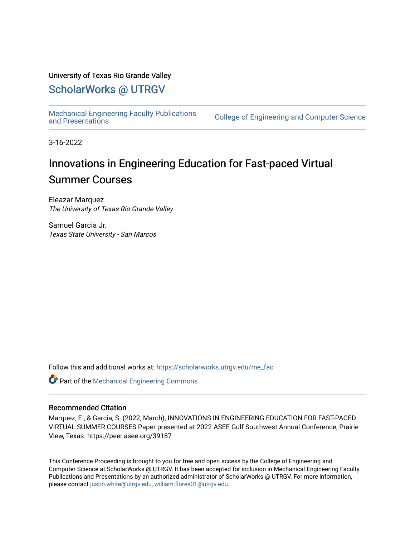#### University of Texas Rio Grande Valley

## [ScholarWorks @ UTRGV](https://scholarworks.utrgv.edu/)

[Mechanical Engineering Faculty Publications](https://scholarworks.utrgv.edu/me_fac) 

College of Engineering and Computer Science

3-16-2022

# Innovations in Engineering Education for Fast-paced Virtual Summer Courses

Eleazar Marquez The University of Texas Rio Grande Valley

Samuel Garcia Jr. Texas State University - San Marcos

Follow this and additional works at: [https://scholarworks.utrgv.edu/me\\_fac](https://scholarworks.utrgv.edu/me_fac?utm_source=scholarworks.utrgv.edu%2Fme_fac%2F67&utm_medium=PDF&utm_campaign=PDFCoverPages) 

Part of the [Mechanical Engineering Commons](http://network.bepress.com/hgg/discipline/293?utm_source=scholarworks.utrgv.edu%2Fme_fac%2F67&utm_medium=PDF&utm_campaign=PDFCoverPages) 

#### Recommended Citation

Marquez, E., & Garcia, S. (2022, March), INNOVATIONS IN ENGINEERING EDUCATION FOR FAST-PACED VIRTUAL SUMMER COURSES Paper presented at 2022 ASEE Gulf Southwest Annual Conference, Prairie View, Texas. https://peer.asee.org/39187

This Conference Proceeding is brought to you for free and open access by the College of Engineering and Computer Science at ScholarWorks @ UTRGV. It has been accepted for inclusion in Mechanical Engineering Faculty Publications and Presentations by an authorized administrator of ScholarWorks @ UTRGV. For more information, please contact [justin.white@utrgv.edu, william.flores01@utrgv.edu](mailto:justin.white@utrgv.edu,%20william.flores01@utrgv.edu).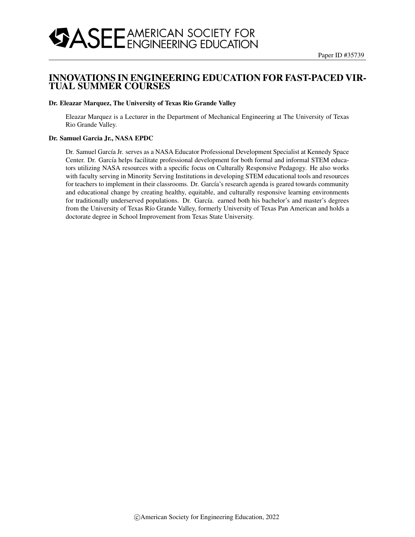### INNOVATIONS IN ENGINEERING EDUCATION FOR FAST-PACED VIR-TUAL SUMMER COURSES

#### Dr. Eleazar Marquez, The University of Texas Rio Grande Valley

Eleazar Marquez is a Lecturer in the Department of Mechanical Engineering at The University of Texas Rio Grande Valley.

#### Dr. Samuel Garcia Jr., NASA EPDC

Dr. Samuel García Jr. serves as a NASA Educator Professional Development Specialist at Kennedy Space Center. Dr. García helps facilitate professional development for both formal and informal STEM educators utilizing NASA resources with a specific focus on Culturally Responsive Pedagogy. He also works with faculty serving in Minority Serving Institutions in developing STEM educational tools and resources for teachers to implement in their classrooms. Dr. García's research agenda is geared towards community and educational change by creating healthy, equitable, and culturally responsive learning environments for traditionally underserved populations. Dr. García. earned both his bachelor's and master's degrees from the University of Texas Río Grande Valley, formerly University of Texas Pan American and holds a doctorate degree in School Improvement from Texas State University.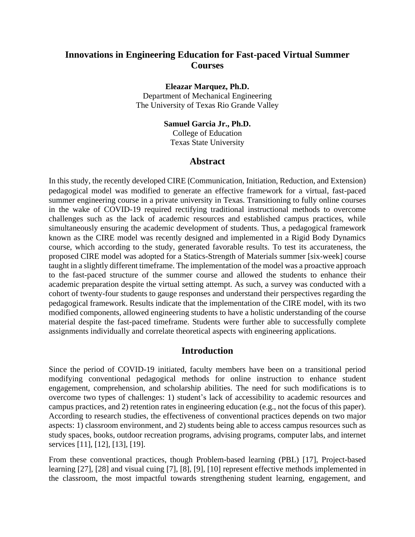## **Innovations in Engineering Education for Fast-paced Virtual Summer Courses**

**Eleazar Marquez, Ph.D.**

Department of Mechanical Engineering The University of Texas Rio Grande Valley

#### **Samuel Garcia Jr., Ph.D.**

College of Education Texas State University

#### **Abstract**

In this study, the recently developed CIRE (Communication, Initiation, Reduction, and Extension) pedagogical model was modified to generate an effective framework for a virtual, fast-paced summer engineering course in a private university in Texas. Transitioning to fully online courses in the wake of COVID-19 required rectifying traditional instructional methods to overcome challenges such as the lack of academic resources and established campus practices, while simultaneously ensuring the academic development of students. Thus, a pedagogical framework known as the CIRE model was recently designed and implemented in a Rigid Body Dynamics course, which according to the study, generated favorable results. To test its accurateness, the proposed CIRE model was adopted for a Statics-Strength of Materials summer [six-week] course taught in a slightly different timeframe. The implementation of the model was a proactive approach to the fast-paced structure of the summer course and allowed the students to enhance their academic preparation despite the virtual setting attempt. As such, a survey was conducted with a cohort of twenty-four students to gauge responses and understand their perspectives regarding the pedagogical framework. Results indicate that the implementation of the CIRE model, with its two modified components, allowed engineering students to have a holistic understanding of the course material despite the fast-paced timeframe. Students were further able to successfully complete assignments individually and correlate theoretical aspects with engineering applications.

#### **Introduction**

Since the period of COVID-19 initiated, faculty members have been on a transitional period modifying conventional pedagogical methods for online instruction to enhance student engagement, comprehension, and scholarship abilities. The need for such modifications is to overcome two types of challenges: 1) student's lack of accessibility to academic resources and campus practices, and 2) retention rates in engineering education (e.g., not the focus of this paper). According to research studies, the effectiveness of conventional practices depends on two major aspects: 1) classroom environment, and 2) students being able to access campus resources such as study spaces, books, outdoor recreation programs, advising programs, computer labs, and internet services [11], [12], [13], [19].

From these conventional practices, though Problem-based learning (PBL) [17], Project-based learning [27], [28] and visual cuing [7], [8], [9], [10] represent effective methods implemented in the classroom, the most impactful towards strengthening student learning, engagement, and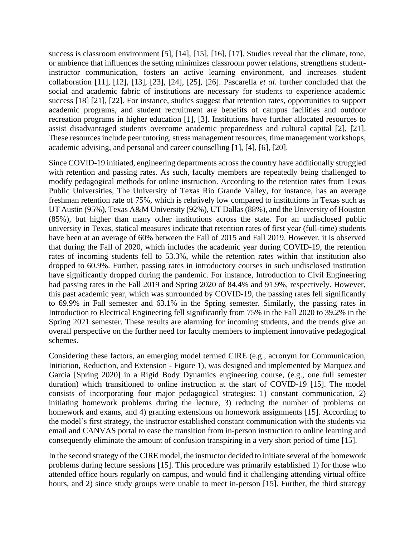success is classroom environment [5], [14], [15], [16], [17]. Studies reveal that the climate, tone, or ambience that influences the setting minimizes classroom power relations, strengthens studentinstructor communication, fosters an active learning environment, and increases student collaboration [11], [12], [13], [23], [24], [25], [26]. Pascarella *et al*. further concluded that the social and academic fabric of institutions are necessary for students to experience academic success [18] [21], [22]. For instance, studies suggest that retention rates, opportunities to support academic programs, and student recruitment are benefits of campus facilities and outdoor recreation programs in higher education [1], [3]. Institutions have further allocated resources to assist disadvantaged students overcome academic preparedness and cultural capital [2], [21]. These resources include peer tutoring, stress management resources, time management workshops, academic advising, and personal and career counselling [1], [4], [6], [20].

Since COVID-19 initiated, engineering departments across the country have additionally struggled with retention and passing rates. As such, faculty members are repeatedly being challenged to modify pedagogical methods for online instruction. According to the retention rates from Texas Public Universities, The University of Texas Rio Grande Valley, for instance, has an average freshman retention rate of 75%, which is relatively low compared to institutions in Texas such as UT Austin (95%), Texas A&M University (92%), UT Dallas (88%), and the University of Houston (85%), but higher than many other institutions across the state. For an undisclosed public university in Texas, statical measures indicate that retention rates of first year (full-time) students have been at an average of 60% between the Fall of 2015 and Fall 2019. However, it is observed that during the Fall of 2020, which includes the academic year during COVID-19, the retention rates of incoming students fell to 53.3%, while the retention rates within that institution also dropped to 60.9%. Further, passing rates in introductory courses in such undisclosed institution have significantly dropped during the pandemic. For instance, Introduction to Civil Engineering had passing rates in the Fall 2019 and Spring 2020 of 84.4% and 91.9%, respectively. However, this past academic year, which was surrounded by COVID-19, the passing rates fell significantly to 69.9% in Fall semester and 63.1% in the Spring semester. Similarly, the passing rates in Introduction to Electrical Engineering fell significantly from 75% in the Fall 2020 to 39.2% in the Spring 2021 semester. These results are alarming for incoming students, and the trends give an overall perspective on the further need for faculty members to implement innovative pedagogical schemes.

Considering these factors, an emerging model termed CIRE (e.g., acronym for Communication, Initiation, Reduction, and Extension - Figure 1), was designed and implemented by Marquez and Garcia [Spring 2020] in a Rigid Body Dynamics engineering course, (e.g., one full semester duration) which transitioned to online instruction at the start of COVID-19 [15]. The model consists of incorporating four major pedagogical strategies: 1) constant communication, 2) initiating homework problems during the lecture, 3) reducing the number of problems on homework and exams, and 4) granting extensions on homework assignments [15]. According to the model's first strategy, the instructor established constant communication with the students via email and CANVAS portal to ease the transition from in-person instruction to online learning and consequently eliminate the amount of confusion transpiring in a very short period of time [15].

In the second strategy of the CIRE model, the instructor decided to initiate several of the homework problems during lecture sessions [15]. This procedure was primarily established 1) for those who attended office hours regularly on campus, and would find it challenging attending virtual office hours, and 2) since study groups were unable to meet in-person [15]. Further, the third strategy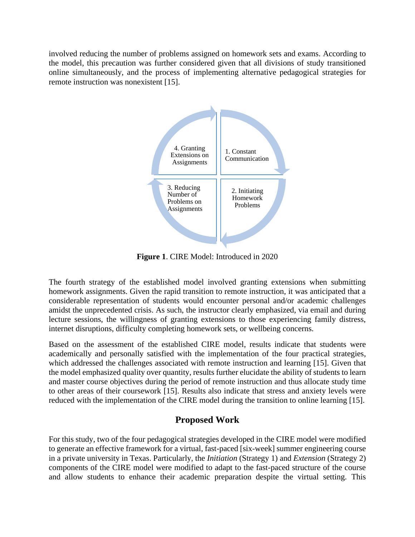involved reducing the number of problems assigned on homework sets and exams. According to the model, this precaution was further considered given that all divisions of study transitioned online simultaneously, and the process of implementing alternative pedagogical strategies for remote instruction was nonexistent [15].



**Figure 1**. CIRE Model: Introduced in 2020

The fourth strategy of the established model involved granting extensions when submitting homework assignments. Given the rapid transition to remote instruction, it was anticipated that a considerable representation of students would encounter personal and/or academic challenges amidst the unprecedented crisis. As such, the instructor clearly emphasized, via email and during lecture sessions, the willingness of granting extensions to those experiencing family distress, internet disruptions, difficulty completing homework sets, or wellbeing concerns.

Based on the assessment of the established CIRE model, results indicate that students were academically and personally satisfied with the implementation of the four practical strategies, which addressed the challenges associated with remote instruction and learning [15]. Given that the model emphasized quality over quantity, results further elucidate the ability of students to learn and master course objectives during the period of remote instruction and thus allocate study time to other areas of their coursework [15]. Results also indicate that stress and anxiety levels were reduced with the implementation of the CIRE model during the transition to online learning [15].

## **Proposed Work**

For this study, two of the four pedagogical strategies developed in the CIRE model were modified to generate an effective framework for a virtual, fast-paced [six-week] summer engineering course in a private university in Texas. Particularly, the *Initiation* (Strategy 1) and *Extension* (Strategy 2) components of the CIRE model were modified to adapt to the fast-paced structure of the course and allow students to enhance their academic preparation despite the virtual setting. This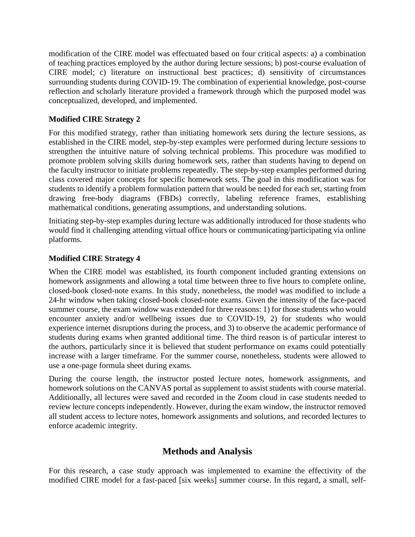modification of the CIRE model was effectuated based on four critical aspects: a) a combination of teaching practices employed by the author during lecture sessions; b) post-course evaluation of CIRE model; c) literature on instructional best practices; d) sensitivity of circumstances surrounding students during COVID-19. The combination of experiential knowledge, post-course reflection and scholarly literature provided a framework through which the purposed model was conceptualized, developed, and implemented.

### **Modified CIRE Strategy 2**

For this modified strategy, rather than initiating homework sets during the lecture sessions, as established in the CIRE model, step-by-step examples were performed during lecture sessions to strengthen the intuitive nature of solving technical problems. This procedure was modified to promote problem solving skills during homework sets, rather than students having to depend on the faculty instructor to initiate problems repeatedly. The step-by-step examples performed during class covered major concepts for specific homework sets. The goal in this modification was for students to identify a problem formulation pattern that would be needed for each set, starting from drawing free-body diagrams (FBDs) correctly, labeling reference frames, establishing mathematical conditions, generating assumptions, and understanding solutions.

Initiating step-by-step examples during lecture was additionally introduced for those students who would find it challenging attending virtual office hours or communicating/participating via online platforms.

#### **Modified CIRE Strategy 4**

When the CIRE model was established, its fourth component included granting extensions on homework assignments and allowing a total time between three to five hours to complete online, closed-book closed-note exams. In this study, nonetheless, the model was modified to include a 24-hr window when taking closed-book closed-note exams. Given the intensity of the face-paced summer course, the exam window was extended for three reasons: 1) for those students who would encounter anxiety and/or wellbeing issues due to COVID-19, 2) for students who would experience internet disruptions during the process, and 3) to observe the academic performance of students during exams when granted additional time. The third reason is of particular interest to the authors, particularly since it is believed that student performance on exams could potentially increase with a larger timeframe. For the summer course, nonetheless, students were allowed to use a one-page formula sheet during exams.

During the course length, the instructor posted lecture notes, homework assignments, and homework solutions on the CANVAS portal as supplement to assist students with course material. Additionally, all lectures were saved and recorded in the Zoom cloud in case students needed to review lecture concepts independently. However, during the exam window, the instructor removed all student access to lecture notes, homework assignments and solutions, and recorded lectures to enforce academic integrity.

## **Methods and Analysis**

For this research, a case study approach was implemented to examine the effectivity of the modified CIRE model for a fast-paced [six weeks] summer course. In this regard, a small, self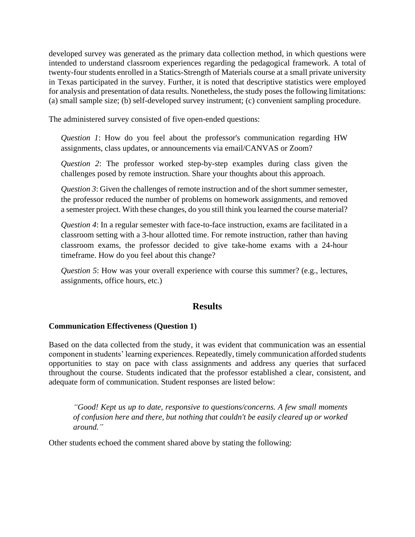developed survey was generated as the primary data collection method, in which questions were intended to understand classroom experiences regarding the pedagogical framework. A total of twenty-four students enrolled in a Statics-Strength of Materials course at a small private university in Texas participated in the survey. Further, it is noted that descriptive statistics were employed for analysis and presentation of data results. Nonetheless, the study poses the following limitations: (a) small sample size; (b) self-developed survey instrument; (c) convenient sampling procedure.

The administered survey consisted of five open-ended questions:

*Question 1*: How do you feel about the professor's communication regarding HW assignments, class updates, or announcements via email/CANVAS or Zoom?

*Question 2*: The professor worked step-by-step examples during class given the challenges posed by remote instruction. Share your thoughts about this approach.

*Question 3*: Given the challenges of remote instruction and of the short summer semester, the professor reduced the number of problems on homework assignments, and removed a semester project. With these changes, do you still think you learned the course material?

*Question 4*: In a regular semester with face-to-face instruction, exams are facilitated in a classroom setting with a 3-hour allotted time. For remote instruction, rather than having classroom exams, the professor decided to give take-home exams with a 24-hour timeframe. How do you feel about this change?

*Question 5*: How was your overall experience with course this summer? (e.g., lectures, assignments, office hours, etc.)

#### **Results**

#### **Communication Effectiveness (Question 1)**

Based on the data collected from the study, it was evident that communication was an essential component in students' learning experiences. Repeatedly, timely communication afforded students opportunities to stay on pace with class assignments and address any queries that surfaced throughout the course. Students indicated that the professor established a clear, consistent, and adequate form of communication. Student responses are listed below:

*"Good! Kept us up to date, responsive to questions/concerns. A few small moments of confusion here and there, but nothing that couldn't be easily cleared up or worked around."*

Other students echoed the comment shared above by stating the following: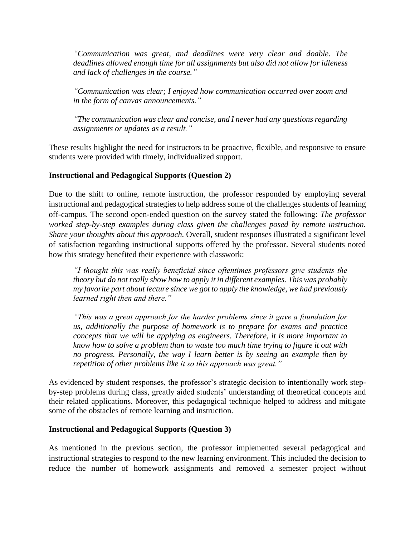*"Communication was great, and deadlines were very clear and doable. The deadlines allowed enough time for all assignments but also did not allow for idleness and lack of challenges in the course."*

*"Communication was clear; I enjoyed how communication occurred over zoom and in the form of canvas announcements."*

*"The communication was clear and concise, and I never had any questions regarding assignments or updates as a result."* 

These results highlight the need for instructors to be proactive, flexible, and responsive to ensure students were provided with timely, individualized support.

#### **Instructional and Pedagogical Supports (Question 2)**

Due to the shift to online, remote instruction, the professor responded by employing several instructional and pedagogical strategies to help address some of the challenges students of learning off-campus. The second open-ended question on the survey stated the following: *The professor worked step-by-step examples during class given the challenges posed by remote instruction. Share your thoughts about this approach.* Overall, student responses illustrated a significant level of satisfaction regarding instructional supports offered by the professor. Several students noted how this strategy benefited their experience with classwork:

*"I thought this was really beneficial since oftentimes professors give students the theory but do not really show how to apply it in different examples. This was probably my favorite part about lecture since we got to apply the knowledge, we had previously learned right then and there."*

*"This was a great approach for the harder problems since it gave a foundation for us, additionally the purpose of homework is to prepare for exams and practice concepts that we will be applying as engineers. Therefore, it is more important to know how to solve a problem than to waste too much time trying to figure it out with no progress. Personally, the way I learn better is by seeing an example then by repetition of other problems like it so this approach was great."*

As evidenced by student responses, the professor's strategic decision to intentionally work stepby-step problems during class, greatly aided students' understanding of theoretical concepts and their related applications. Moreover, this pedagogical technique helped to address and mitigate some of the obstacles of remote learning and instruction.

#### **Instructional and Pedagogical Supports (Question 3)**

As mentioned in the previous section, the professor implemented several pedagogical and instructional strategies to respond to the new learning environment. This included the decision to reduce the number of homework assignments and removed a semester project without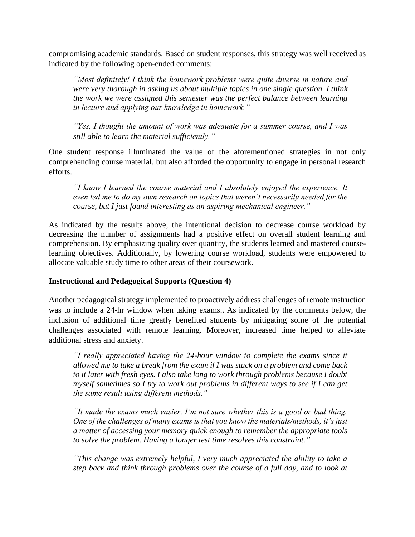compromising academic standards. Based on student responses, this strategy was well received as indicated by the following open-ended comments:

*"Most definitely! I think the homework problems were quite diverse in nature and were very thorough in asking us about multiple topics in one single question. I think the work we were assigned this semester was the perfect balance between learning in lecture and applying our knowledge in homework."*

*"Yes, I thought the amount of work was adequate for a summer course, and I was still able to learn the material sufficiently."*

One student response illuminated the value of the aforementioned strategies in not only comprehending course material, but also afforded the opportunity to engage in personal research efforts.

*"I know I learned the course material and I absolutely enjoyed the experience. It even led me to do my own research on topics that weren't necessarily needed for the course, but I just found interesting as an aspiring mechanical engineer."*

As indicated by the results above, the intentional decision to decrease course workload by decreasing the number of assignments had a positive effect on overall student learning and comprehension. By emphasizing quality over quantity, the students learned and mastered courselearning objectives. Additionally, by lowering course workload, students were empowered to allocate valuable study time to other areas of their coursework.

#### **Instructional and Pedagogical Supports (Question 4)**

Another pedagogical strategy implemented to proactively address challenges of remote instruction was to include a 24-hr window when taking exams.. As indicated by the comments below, the inclusion of additional time greatly benefited students by mitigating some of the potential challenges associated with remote learning. Moreover, increased time helped to alleviate additional stress and anxiety.

*"I really appreciated having the 24-hour window to complete the exams since it allowed me to take a break from the exam if I was stuck on a problem and come back to it later with fresh eyes. I also take long to work through problems because I doubt myself sometimes so I try to work out problems in different ways to see if I can get the same result using different methods."*

*"It made the exams much easier, I'm not sure whether this is a good or bad thing. One of the challenges of many exams is that you know the materials/methods, it's just a matter of accessing your memory quick enough to remember the appropriate tools to solve the problem. Having a longer test time resolves this constraint."*

*"This change was extremely helpful, I very much appreciated the ability to take a step back and think through problems over the course of a full day, and to look at*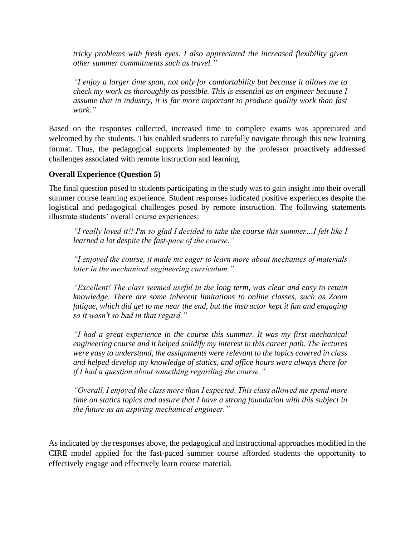*tricky problems with fresh eyes. I also appreciated the increased flexibility given other summer commitments such as travel."*

*"I enjoy a larger time span, not only for comfortability but because it allows me to check my work as thoroughly as possible. This is essential as an engineer because I assume that in industry, it is far more important to produce quality work than fast work."*

Based on the responses collected, increased time to complete exams was appreciated and welcomed by the students. This enabled students to carefully navigate through this new learning format. Thus, the pedagogical supports implemented by the professor proactively addressed challenges associated with remote instruction and learning.

#### **Overall Experience (Question 5)**

The final question posed to students participating in the study was to gain insight into their overall summer course learning experience. Student responses indicated positive experiences despite the logistical and pedagogical challenges posed by remote instruction. The following statements illustrate students' overall course experiences:

*"I really loved it!! I'm so glad I decided to take the course this summer…I felt like I learned a lot despite the fast-pace of the course."*

*"I enjoyed the course, it made me eager to learn more about mechanics of materials later in the mechanical engineering curriculum."* 

*"Excellent! The class seemed useful in the long term, was clear and easy to retain knowledge. There are some inherent limitations to online classes, such as Zoom fatigue, which did get to me near the end, but the instructor kept it fun and engaging so it wasn't so bad in that regard."*

*"I had a great experience in the course this summer. It was my first mechanical engineering course and it helped solidify my interest in this career path. The lectures were easy to understand, the assignments were relevant to the topics covered in class and helped develop my knowledge of statics, and office hours were always there for if I had a question about something regarding the course."* 

*"Overall, I enjoyed the class more than I expected. This class allowed me spend more time on statics topics and assure that I have a strong foundation with this subject in the future as an aspiring mechanical engineer."*

As indicated by the responses above, the pedagogical and instructional approaches modified in the CIRE model applied for the fast-paced summer course afforded students the opportunity to effectively engage and effectively learn course material.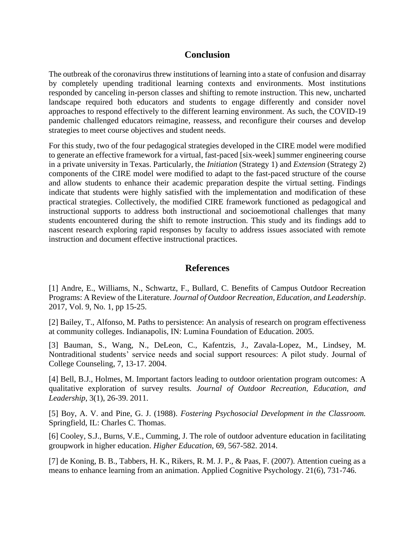### **Conclusion**

The outbreak of the coronavirus threw institutions of learning into a state of confusion and disarray by completely upending traditional learning contexts and environments. Most institutions responded by canceling in-person classes and shifting to remote instruction. This new, uncharted landscape required both educators and students to engage differently and consider novel approaches to respond effectively to the different learning environment. As such, the COVID-19 pandemic challenged educators reimagine, reassess, and reconfigure their courses and develop strategies to meet course objectives and student needs.

For this study, two of the four pedagogical strategies developed in the CIRE model were modified to generate an effective framework for a virtual, fast-paced [six-week] summer engineering course in a private university in Texas. Particularly, the *Initiation* (Strategy 1) and *Extension* (Strategy 2) components of the CIRE model were modified to adapt to the fast-paced structure of the course and allow students to enhance their academic preparation despite the virtual setting. Findings indicate that students were highly satisfied with the implementation and modification of these practical strategies. Collectively, the modified CIRE framework functioned as pedagogical and instructional supports to address both instructional and socioemotional challenges that many students encountered during the shift to remote instruction. This study and its findings add to nascent research exploring rapid responses by faculty to address issues associated with remote instruction and document effective instructional practices.

## **References**

[1] Andre, E., Williams, N., Schwartz, F., Bullard, C. Benefits of Campus Outdoor Recreation Programs: A Review of the Literature. *Journal of Outdoor Recreation, Education, and Leadership*. 2017, Vol. 9, No. 1, pp 15-25.

[2] Bailey, T., Alfonso, M. Paths to persistence: An analysis of research on program effectiveness at community colleges. Indianapolis, IN: Lumina Foundation of Education. 2005.

[3] Bauman, S., Wang, N., DeLeon, C., Kafentzis, J., Zavala-Lopez, M., Lindsey, M. Nontraditional students' service needs and social support resources: A pilot study. Journal of College Counseling, 7, 13-17. 2004.

[4] Bell, B.J., Holmes, M. Important factors leading to outdoor orientation program outcomes: A qualitative exploration of survey results. *Journal of Outdoor Recreation, Education, and Leadership*, 3(1), 26-39. 2011.

[5] Boy, A. V. and Pine, G. J. (1988). *Fostering Psychosocial Development in the Classroom.* Springfield, IL: Charles C. Thomas.

[6] Cooley, S.J., Burns, V.E., Cumming, J. The role of outdoor adventure education in facilitating groupwork in higher education. *Higher Education*, 69, 567-582. 2014.

[7] de Koning, B. B., Tabbers, H. K., Rikers, R. M. J. P., & Paas, F. (2007). Attention cueing as a means to enhance learning from an animation. Applied Cognitive Psychology. 21(6), 731-746.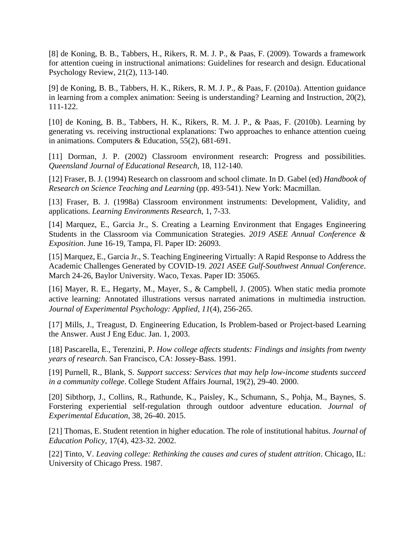[8] de Koning, B. B., Tabbers, H., Rikers, R. M. J. P., & Paas, F. (2009). Towards a framework for attention cueing in instructional animations: Guidelines for research and design. Educational Psychology Review, 21(2), 113-140.

[9] de Koning, B. B., Tabbers, H. K., Rikers, R. M. J. P., & Paas, F. (2010a). Attention guidance in learning from a complex animation: Seeing is understanding? Learning and Instruction, 20(2), 111-122.

[10] de Koning, B. B., Tabbers, H. K., Rikers, R. M. J. P., & Paas, F. (2010b). Learning by generating vs. receiving instructional explanations: Two approaches to enhance attention cueing in animations. Computers & Education, 55(2), 681-691.

[11] Dorman, J. P. (2002) Classroom environment research: Progress and possibilities. *Queensland Journal of Educational Research,* 18, 112-140.

[12] Fraser, B. J. (1994) Research on classroom and school climate. In D. Gabel (ed) *Handbook of Research on Science Teaching and Learning* (pp. 493-541). New York: Macmillan.

[13] Fraser, B. J. (1998a) Classroom environment instruments: Development, Validity, and applications. *Learning Environments Research,* 1, 7-33.

[14] Marquez, E., Garcia Jr., S. Creating a Learning Environment that Engages Engineering Students in the Classroom via Communication Strategies. *2019 ASEE Annual Conference & Exposition*. June 16-19, Tampa, Fl. Paper ID: 26093.

[15] Marquez, E., Garcia Jr., S. Teaching Engineering Virtually: A Rapid Response to Address the Academic Challenges Generated by COVID-19. *2021 ASEE Gulf-Southwest Annual Conference*. March 24-26, Baylor University. Waco, Texas. Paper ID: 35065.

[16] Mayer, R. E., Hegarty, M., Mayer, S., & Campbell, J. (2005). When static media promote active learning: Annotated illustrations versus narrated animations in multimedia instruction. *Journal of Experimental Psychology: Applied, 11*(4), 256-265.

[17] Mills, J., Treagust, D. Engineering Education, Is Problem-based or Project-based Learning the Answer. Aust J Eng Educ. Jan. 1, 2003.

[18] Pascarella, E., Terenzini, P. *How college affects students: Findings and insights from twenty years of research*. San Francisco, CA: Jossey-Bass. 1991.

[19] Purnell, R., Blank, S. *Support success: Services that may help low-income students succeed in a community college*. College Student Affairs Journal, 19(2), 29-40. 2000.

[20] Sibthorp, J., Collins, R., Rathunde, K., Paisley, K., Schumann, S., Pohja, M., Baynes, S. Forstering experiential self-regulation through outdoor adventure education. *Journal of Experimental Education*, 38, 26-40. 2015.

[21] Thomas, E. Student retention in higher education. The role of institutional habitus. *Journal of Education Policy*, 17(4), 423-32. 2002.

[22] Tinto, V. *Leaving college: Rethinking the causes and cures of student attrition*. Chicago, IL: University of Chicago Press. 1987.